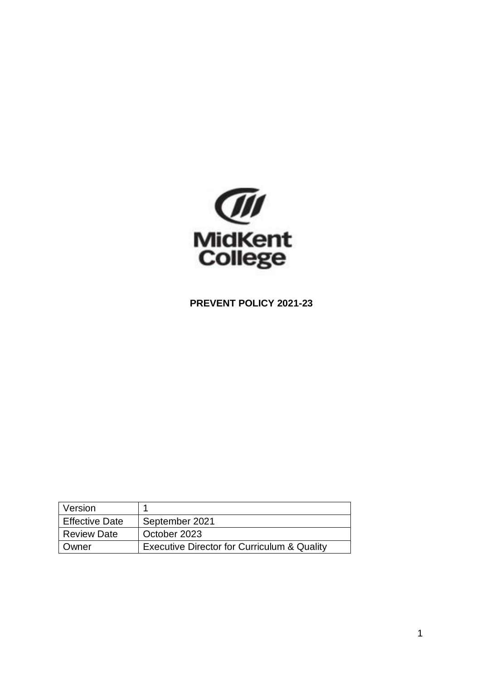

# **PREVENT POLICY 2021-23**

| Version               |                                                        |
|-----------------------|--------------------------------------------------------|
| <b>Effective Date</b> | September 2021                                         |
| <b>Review Date</b>    | October 2023                                           |
| Owner                 | <b>Executive Director for Curriculum &amp; Quality</b> |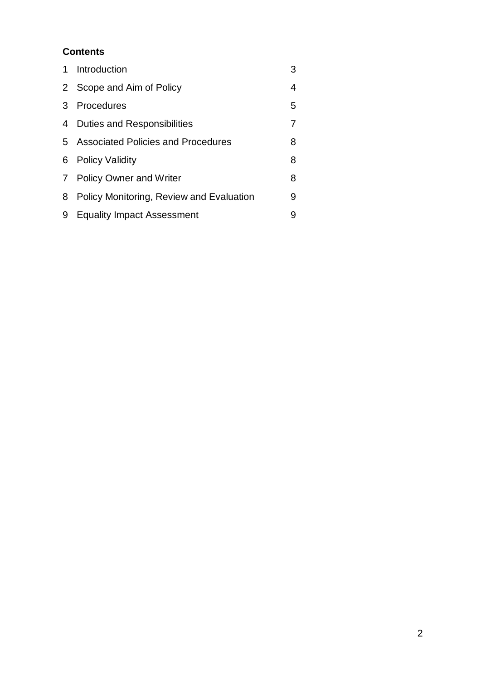# **Contents**

| 1 | Introduction                             | 3 |
|---|------------------------------------------|---|
|   | 2 Scope and Aim of Policy                | 4 |
| 3 | Procedures                               | 5 |
| 4 | <b>Duties and Responsibilities</b>       |   |
|   | 5 Associated Policies and Procedures     | 8 |
| 6 | <b>Policy Validity</b>                   | 8 |
|   | 7 Policy Owner and Writer                | 8 |
| 8 | Policy Monitoring, Review and Evaluation | 9 |
| 9 | <b>Equality Impact Assessment</b>        | 9 |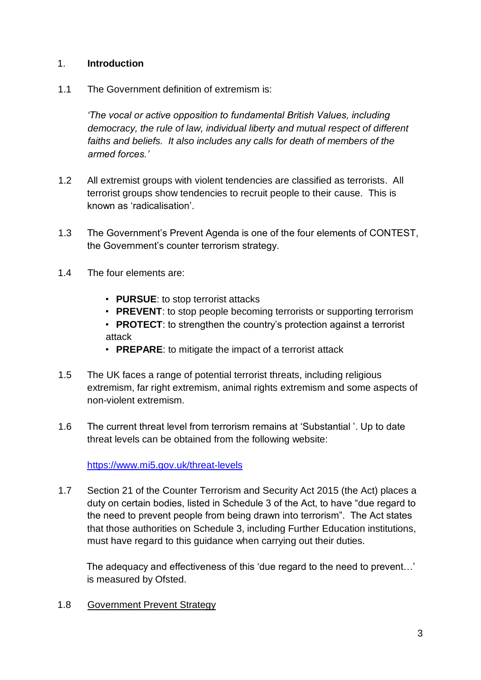## 1. **Introduction**

1.1 The Government definition of extremism is:

*'The vocal or active opposition to fundamental British Values, including democracy, the rule of law, individual liberty and mutual respect of different faiths and beliefs. It also includes any calls for death of members of the armed forces.'* 

- 1.2 All extremist groups with violent tendencies are classified as terrorists. All terrorist groups show tendencies to recruit people to their cause. This is known as 'radicalisation'.
- 1.3 The Government's Prevent Agenda is one of the four elements of CONTEST, the Government's counter terrorism strategy.
- 1.4 The four elements are:
	- **PURSUE**: to stop terrorist attacks
	- **PREVENT**: to stop people becoming terrorists or supporting terrorism
	- **PROTECT**: to strengthen the country's protection against a terrorist attack
	- **PREPARE**: to mitigate the impact of a terrorist attack
- 1.5 The UK faces a range of potential terrorist threats, including religious extremism, far right extremism, animal rights extremism and some aspects of non-violent extremism.
- 1.6 The current threat level from terrorism remains at 'Substantial '. Up to date threat levels can be obtained from the following website:

<https://www.mi5.gov.uk/threat-levels>

1.7 Section 21 of the Counter Terrorism and Security Act 2015 (the Act) places a duty on certain bodies, listed in Schedule 3 of the Act, to have "due regard to the need to prevent people from being drawn into terrorism". The Act states that those authorities on Schedule 3, including Further Education institutions, must have regard to this guidance when carrying out their duties.

The adequacy and effectiveness of this 'due regard to the need to prevent…' is measured by Ofsted.

1.8 Government Prevent Strategy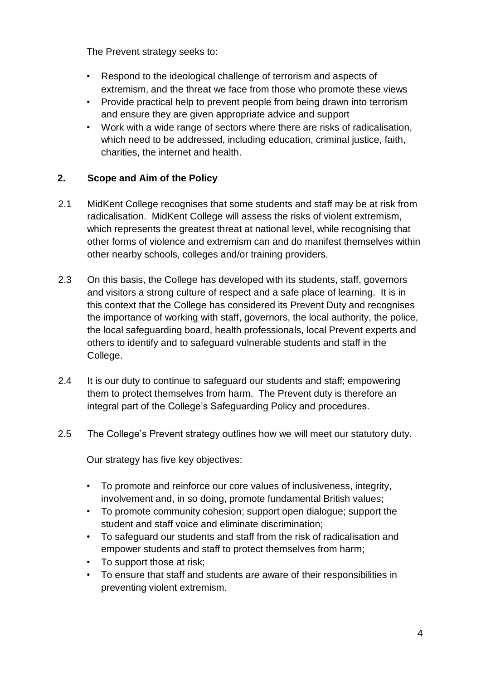The Prevent strategy seeks to:

- Respond to the ideological challenge of terrorism and aspects of extremism, and the threat we face from those who promote these views
- Provide practical help to prevent people from being drawn into terrorism and ensure they are given appropriate advice and support
- Work with a wide range of sectors where there are risks of radicalisation, which need to be addressed, including education, criminal justice, faith, charities, the internet and health.

## **2. Scope and Aim of the Policy**

- 2.1 MidKent College recognises that some students and staff may be at risk from radicalisation. MidKent College will assess the risks of violent extremism, which represents the greatest threat at national level, while recognising that other forms of violence and extremism can and do manifest themselves within other nearby schools, colleges and/or training providers.
- 2.3 On this basis, the College has developed with its students, staff, governors and visitors a strong culture of respect and a safe place of learning. It is in this context that the College has considered its Prevent Duty and recognises the importance of working with staff, governors, the local authority, the police, the local safeguarding board, health professionals, local Prevent experts and others to identify and to safeguard vulnerable students and staff in the College.
- 2.4 It is our duty to continue to safeguard our students and staff; empowering them to protect themselves from harm. The Prevent duty is therefore an integral part of the College's Safeguarding Policy and procedures.
- 2.5 The College's Prevent strategy outlines how we will meet our statutory duty.

Our strategy has five key objectives:

- To promote and reinforce our core values of inclusiveness, integrity, involvement and, in so doing, promote fundamental British values;
- To promote community cohesion; support open dialogue; support the student and staff voice and eliminate discrimination;
- To safeguard our students and staff from the risk of radicalisation and empower students and staff to protect themselves from harm;
- To support those at risk;
- To ensure that staff and students are aware of their responsibilities in preventing violent extremism.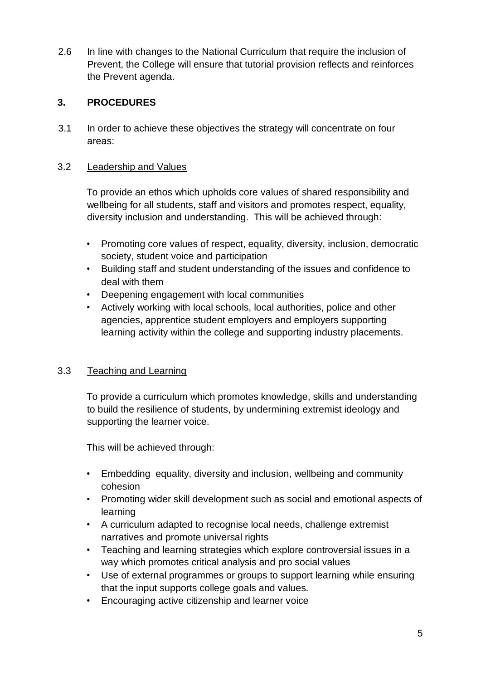2.6 In line with changes to the National Curriculum that require the inclusion of Prevent, the College will ensure that tutorial provision reflects and reinforces the Prevent agenda.

# **3. PROCEDURES**

3.1 In order to achieve these objectives the strategy will concentrate on four areas:

#### 3.2 Leadership and Values

To provide an ethos which upholds core values of shared responsibility and wellbeing for all students, staff and visitors and promotes respect, equality, diversity inclusion and understanding. This will be achieved through:

- Promoting core values of respect, equality, diversity, inclusion, democratic society, student voice and participation
- Building staff and student understanding of the issues and confidence to deal with them
- Deepening engagement with local communities
- Actively working with local schools, local authorities, police and other agencies, apprentice student employers and employers supporting learning activity within the college and supporting industry placements.

#### 3.3 Teaching and Learning

To provide a curriculum which promotes knowledge, skills and understanding to build the resilience of students, by undermining extremist ideology and supporting the learner voice.

This will be achieved through:

- Embedding equality, diversity and inclusion, wellbeing and community cohesion
- Promoting wider skill development such as social and emotional aspects of learning
- A curriculum adapted to recognise local needs, challenge extremist narratives and promote universal rights
- Teaching and learning strategies which explore controversial issues in a way which promotes critical analysis and pro social values
- Use of external programmes or groups to support learning while ensuring that the input supports college goals and values.
- Encouraging active citizenship and learner voice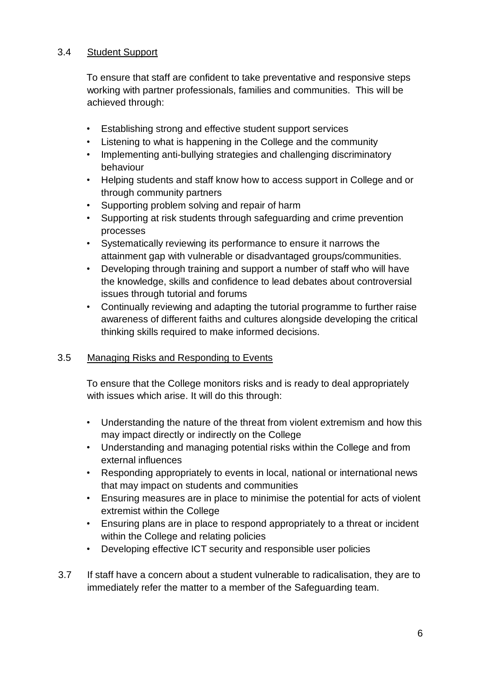## 3.4 Student Support

To ensure that staff are confident to take preventative and responsive steps working with partner professionals, families and communities. This will be achieved through:

- Establishing strong and effective student support services
- Listening to what is happening in the College and the community
- Implementing anti-bullying strategies and challenging discriminatory behaviour
- Helping students and staff know how to access support in College and or through community partners
- Supporting problem solving and repair of harm
- Supporting at risk students through safeguarding and crime prevention processes
- Systematically reviewing its performance to ensure it narrows the attainment gap with vulnerable or disadvantaged groups/communities.
- Developing through training and support a number of staff who will have the knowledge, skills and confidence to lead debates about controversial issues through tutorial and forums
- Continually reviewing and adapting the tutorial programme to further raise awareness of different faiths and cultures alongside developing the critical thinking skills required to make informed decisions.

# 3.5 Managing Risks and Responding to Events

To ensure that the College monitors risks and is ready to deal appropriately with issues which arise. It will do this through:

- Understanding the nature of the threat from violent extremism and how this may impact directly or indirectly on the College
- Understanding and managing potential risks within the College and from external influences
- Responding appropriately to events in local, national or international news that may impact on students and communities
- Ensuring measures are in place to minimise the potential for acts of violent extremist within the College
- Ensuring plans are in place to respond appropriately to a threat or incident within the College and relating policies
- Developing effective ICT security and responsible user policies
- 3.7 If staff have a concern about a student vulnerable to radicalisation, they are to immediately refer the matter to a member of the Safeguarding team.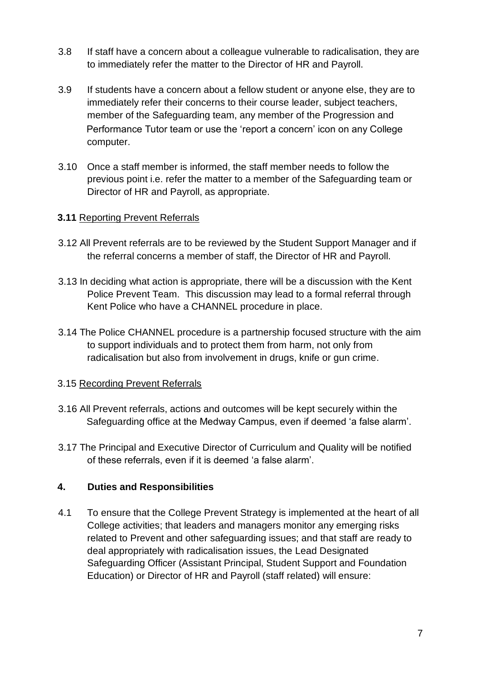- 3.8 If staff have a concern about a colleague vulnerable to radicalisation, they are to immediately refer the matter to the Director of HR and Payroll.
- 3.9 If students have a concern about a fellow student or anyone else, they are to immediately refer their concerns to their course leader, subject teachers, member of the Safeguarding team, any member of the Progression and Performance Tutor team or use the 'report a concern' icon on any College computer.
- 3.10 Once a staff member is informed, the staff member needs to follow the previous point i.e. refer the matter to a member of the Safeguarding team or Director of HR and Payroll, as appropriate.

#### **3.11** Reporting Prevent Referrals

- 3.12 All Prevent referrals are to be reviewed by the Student Support Manager and if the referral concerns a member of staff, the Director of HR and Payroll.
- 3.13 In deciding what action is appropriate, there will be a discussion with the Kent Police Prevent Team. This discussion may lead to a formal referral through Kent Police who have a CHANNEL procedure in place.
- 3.14 The Police CHANNEL procedure is a partnership focused structure with the aim to support individuals and to protect them from harm, not only from radicalisation but also from involvement in drugs, knife or gun crime.

#### 3.15 Recording Prevent Referrals

- 3.16 All Prevent referrals, actions and outcomes will be kept securely within the Safeguarding office at the Medway Campus, even if deemed 'a false alarm'.
- 3.17 The Principal and Executive Director of Curriculum and Quality will be notified of these referrals, even if it is deemed 'a false alarm'.

#### **4. Duties and Responsibilities**

4.1 To ensure that the College Prevent Strategy is implemented at the heart of all College activities; that leaders and managers monitor any emerging risks related to Prevent and other safeguarding issues; and that staff are ready to deal appropriately with radicalisation issues, the Lead Designated Safeguarding Officer (Assistant Principal, Student Support and Foundation Education) or Director of HR and Payroll (staff related) will ensure: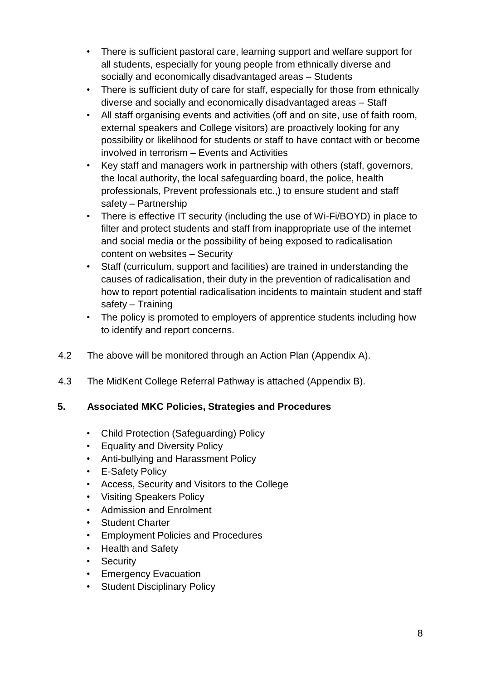- There is sufficient pastoral care, learning support and welfare support for all students, especially for young people from ethnically diverse and socially and economically disadvantaged areas – Students
- There is sufficient duty of care for staff, especially for those from ethnically diverse and socially and economically disadvantaged areas – Staff
- All staff organising events and activities (off and on site, use of faith room, external speakers and College visitors) are proactively looking for any possibility or likelihood for students or staff to have contact with or become involved in terrorism – Events and Activities
- Key staff and managers work in partnership with others (staff, governors, the local authority, the local safeguarding board, the police, health professionals, Prevent professionals etc.,) to ensure student and staff safety – Partnership
- There is effective IT security (including the use of Wi-Fi/BOYD) in place to filter and protect students and staff from inappropriate use of the internet and social media or the possibility of being exposed to radicalisation content on websites – Security
- Staff (curriculum, support and facilities) are trained in understanding the causes of radicalisation, their duty in the prevention of radicalisation and how to report potential radicalisation incidents to maintain student and staff safety – Training
- The policy is promoted to employers of apprentice students including how to identify and report concerns.
- 4.2 The above will be monitored through an Action Plan (Appendix A).
- 4.3 The MidKent College Referral Pathway is attached (Appendix B).

#### **5. Associated MKC Policies, Strategies and Procedures**

- Child Protection (Safeguarding) Policy
- Equality and Diversity Policy
- Anti-bullying and Harassment Policy
- **E-Safety Policy**
- Access, Security and Visitors to the College
- Visiting Speakers Policy
- Admission and Enrolment
- Student Charter
- Employment Policies and Procedures
- Health and Safety
- **Security**
- Emergency Evacuation
- Student Disciplinary Policy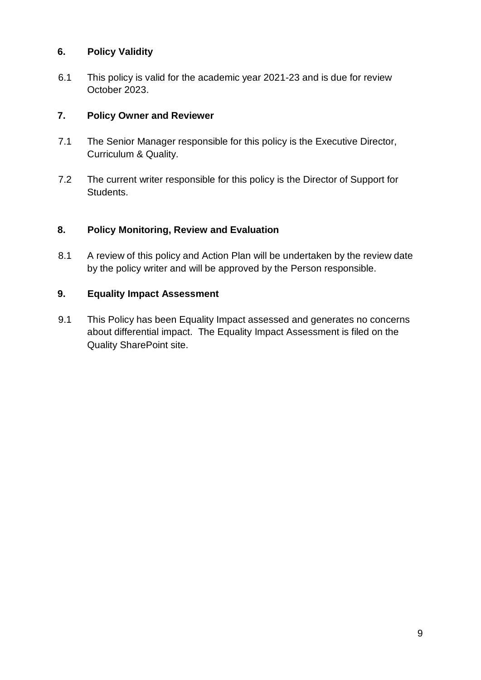#### **6. Policy Validity**

6.1 This policy is valid for the academic year 2021-23 and is due for review October 2023.

#### **7. Policy Owner and Reviewer**

- 7.1 The Senior Manager responsible for this policy is the Executive Director, Curriculum & Quality.
- 7.2 The current writer responsible for this policy is the Director of Support for Students.

#### **8. Policy Monitoring, Review and Evaluation**

8.1 A review of this policy and Action Plan will be undertaken by the review date by the policy writer and will be approved by the Person responsible.

#### **9. Equality Impact Assessment**

9.1 This Policy has been Equality Impact assessed and generates no concerns about differential impact. The Equality Impact Assessment is filed on the Quality SharePoint site.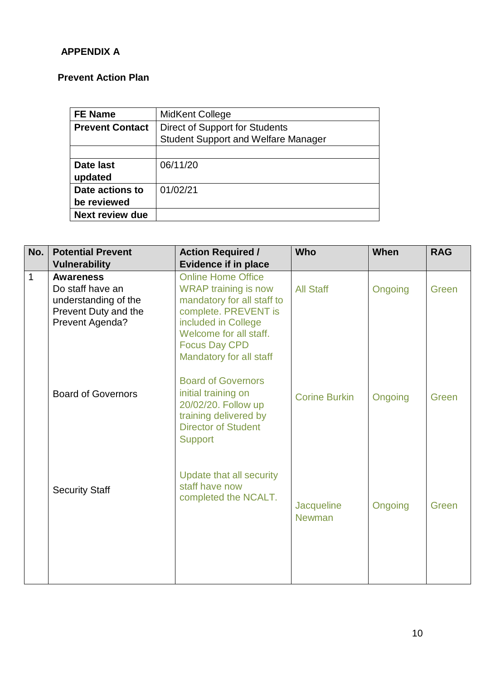# **APPENDIX A**

# **Prevent Action Plan**

| <b>FE Name</b>         | MidKent College                            |
|------------------------|--------------------------------------------|
| <b>Prevent Contact</b> | <b>Direct of Support for Students</b>      |
|                        | <b>Student Support and Welfare Manager</b> |
|                        |                                            |
| Date last              | 06/11/20                                   |
| updated                |                                            |
| Date actions to        | 01/02/21                                   |
| be reviewed            |                                            |
| <b>Next review due</b> |                                            |

| No.            | <b>Potential Prevent</b><br><b>Vulnerability</b>                                                        | <b>Action Required /</b><br><b>Evidence if in place</b>                                                                                                                                                            | <b>Who</b>                  | When    | <b>RAG</b> |
|----------------|---------------------------------------------------------------------------------------------------------|--------------------------------------------------------------------------------------------------------------------------------------------------------------------------------------------------------------------|-----------------------------|---------|------------|
| $\overline{1}$ | <b>Awareness</b><br>Do staff have an<br>understanding of the<br>Prevent Duty and the<br>Prevent Agenda? | <b>Online Home Office</b><br><b>WRAP</b> training is now<br>mandatory for all staff to<br>complete. PREVENT is<br>included in College<br>Welcome for all staff.<br><b>Focus Day CPD</b><br>Mandatory for all staff | <b>All Staff</b>            | Ongoing | Green      |
|                | <b>Board of Governors</b>                                                                               | <b>Board of Governors</b><br>initial training on<br>20/02/20. Follow up<br>training delivered by<br><b>Director of Student</b><br><b>Support</b>                                                                   | <b>Corine Burkin</b>        | Ongoing | Green      |
|                | <b>Security Staff</b>                                                                                   | Update that all security<br>staff have now<br>completed the NCALT.                                                                                                                                                 | Jacqueline<br><b>Newman</b> | Ongoing | Green      |
|                |                                                                                                         |                                                                                                                                                                                                                    |                             |         |            |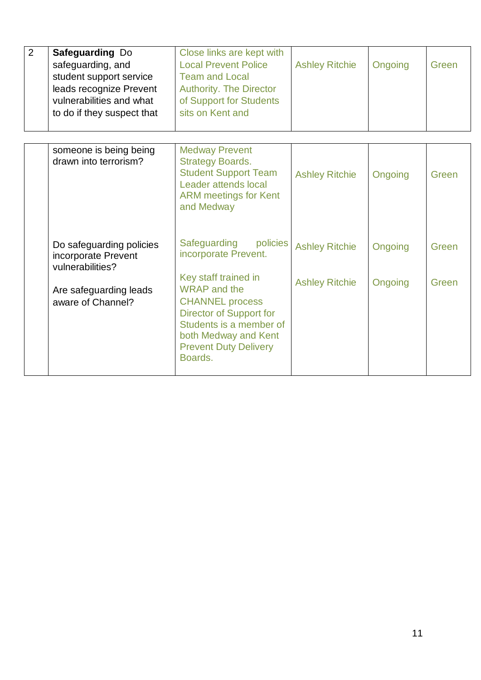| $\overline{2}$ | Safeguarding Do<br>safeguarding, and<br>student support service<br>leads recognize Prevent<br>vulnerabilities and what<br>to do if they suspect that | Close links are kept with<br><b>Local Prevent Police</b><br><b>Team and Local</b><br><b>Authority. The Director</b><br>of Support for Students<br>sits on Kent and            | <b>Ashley Ritchie</b> | Ongoing | Green |
|----------------|------------------------------------------------------------------------------------------------------------------------------------------------------|-------------------------------------------------------------------------------------------------------------------------------------------------------------------------------|-----------------------|---------|-------|
|                | someone is being being<br>drawn into terrorism?                                                                                                      | <b>Medway Prevent</b><br><b>Strategy Boards.</b><br><b>Student Support Team</b><br>Leader attends local<br><b>ARM</b> meetings for Kent<br>and Medway                         | <b>Ashley Ritchie</b> | Ongoing | Green |
|                | Do safeguarding policies<br>incorporate Prevent<br>vulnerabilities?                                                                                  | Safeguarding<br>policies<br>incorporate Prevent.<br>Key staff trained in                                                                                                      | <b>Ashley Ritchie</b> | Ongoing | Green |
|                | Are safeguarding leads<br>aware of Channel?                                                                                                          | <b>WRAP</b> and the<br><b>CHANNEL process</b><br><b>Director of Support for</b><br>Students is a member of<br>both Medway and Kent<br><b>Prevent Duty Delivery</b><br>Boards. | <b>Ashley Ritchie</b> | Ongoing | Green |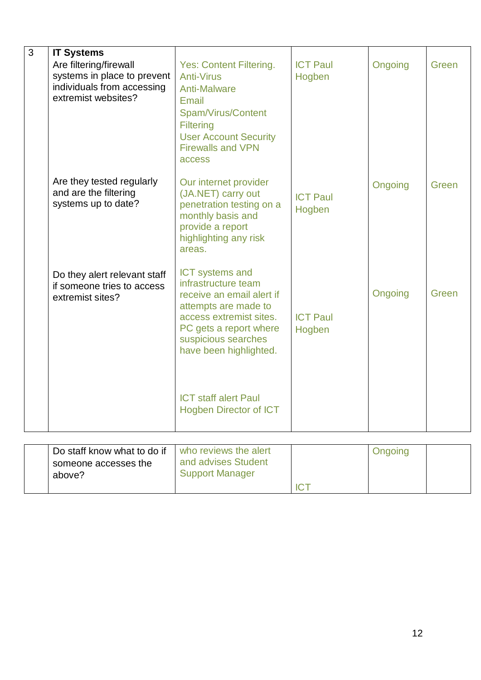| 3 | <b>IT Systems</b><br>Are filtering/firewall<br>systems in place to prevent<br>individuals from accessing<br>extremist websites? | <b>Yes: Content Filtering.</b><br><b>Anti-Virus</b><br><b>Anti-Malware</b><br>Email<br>Spam/Virus/Content<br><b>Filtering</b><br><b>User Account Security</b><br><b>Firewalls and VPN</b><br>access      | <b>ICT Paul</b><br>Hogben | Ongoing | Green |
|---|---------------------------------------------------------------------------------------------------------------------------------|----------------------------------------------------------------------------------------------------------------------------------------------------------------------------------------------------------|---------------------------|---------|-------|
|   | Are they tested regularly<br>and are the filtering<br>systems up to date?                                                       | Our internet provider<br>(JA.NET) carry out<br>penetration testing on a<br>monthly basis and<br>provide a report<br>highlighting any risk<br>areas.                                                      | <b>ICT Paul</b><br>Hogben | Ongoing | Green |
|   | Do they alert relevant staff<br>if someone tries to access<br>extremist sites?                                                  | <b>ICT</b> systems and<br>infrastructure team<br>receive an email alert if<br>attempts are made to<br>access extremist sites.<br>PC gets a report where<br>suspicious searches<br>have been highlighted. | <b>ICT Paul</b><br>Hogben | Ongoing | Green |
|   |                                                                                                                                 | <b>ICT staff alert Paul</b><br><b>Hogben Director of ICT</b>                                                                                                                                             |                           |         |       |
|   |                                                                                                                                 |                                                                                                                                                                                                          |                           |         |       |
|   | Do staff know what to do if<br>someone accesses the<br>above?                                                                   | who reviews the alert<br>and advises Student<br><b>Support Manager</b>                                                                                                                                   | <b>ICT</b>                | Ongoing |       |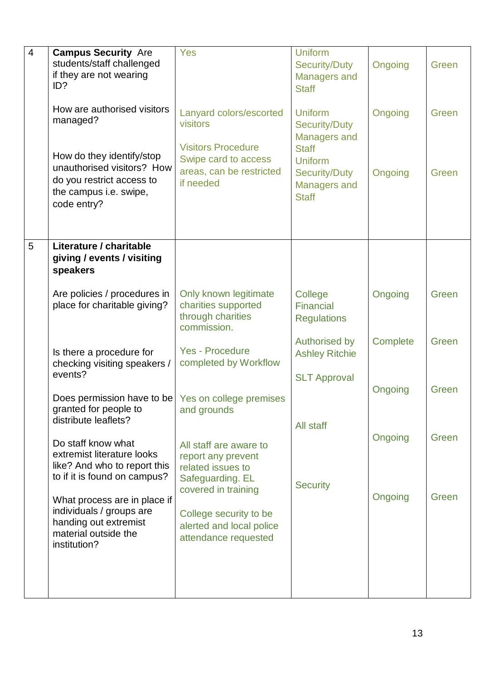| $\overline{4}$ | <b>Campus Security Are</b><br>students/staff challenged<br>if they are not wearing<br>ID?                                     | Yes                                                                              | <b>Uniform</b><br><b>Security/Duty</b><br><b>Managers and</b><br><b>Staff</b> | Ongoing  | Green |
|----------------|-------------------------------------------------------------------------------------------------------------------------------|----------------------------------------------------------------------------------|-------------------------------------------------------------------------------|----------|-------|
|                | How are authorised visitors<br>managed?                                                                                       | Lanyard colors/escorted<br>visitors<br><b>Visitors Procedure</b>                 | <b>Uniform</b><br><b>Security/Duty</b><br><b>Managers and</b><br><b>Staff</b> | Ongoing  | Green |
|                | How do they identify/stop<br>unauthorised visitors? How<br>do you restrict access to<br>the campus i.e. swipe,<br>code entry? | Swipe card to access<br>areas, can be restricted<br>if needed                    | <b>Uniform</b><br><b>Security/Duty</b><br><b>Managers and</b><br><b>Staff</b> | Ongoing  | Green |
| 5              | Literature / charitable<br>giving / events / visiting<br>speakers                                                             |                                                                                  |                                                                               |          |       |
|                | Are policies / procedures in<br>place for charitable giving?                                                                  | Only known legitimate<br>charities supported<br>through charities<br>commission. | College<br><b>Financial</b><br><b>Regulations</b>                             | Ongoing  | Green |
|                | Is there a procedure for<br>checking visiting speakers /<br>events?                                                           | <b>Yes - Procedure</b><br>completed by Workflow                                  | <b>Authorised by</b><br><b>Ashley Ritchie</b><br><b>SLT Approval</b>          | Complete | Green |
|                | Does permission have to be   Yes on college premises<br>granted for people to<br>distribute leaflets?                         | and grounds                                                                      |                                                                               | Ongoing  | Green |
|                | Do staff know what<br>extremist literature looks<br>like? And who to report this                                              | All staff are aware to<br>report any prevent<br>related issues to                | All staff                                                                     | Ongoing  | Green |
|                | to if it is found on campus?<br>What process are in place if<br>individuals / groups are                                      | Safeguarding. EL<br>covered in training<br>College security to be                | <b>Security</b>                                                               | Ongoing  | Green |
|                | handing out extremist<br>material outside the<br>institution?                                                                 | alerted and local police<br>attendance requested                                 |                                                                               |          |       |
|                |                                                                                                                               |                                                                                  |                                                                               |          |       |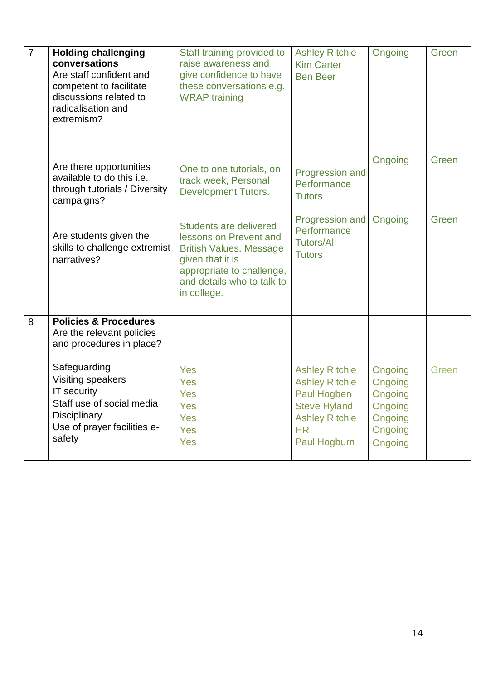| $\overline{7}$ | <b>Holding challenging</b><br>conversations<br>Are staff confident and<br>competent to facilitate<br>discussions related to<br>radicalisation and<br>extremism? | Staff training provided to<br>raise awareness and<br>give confidence to have<br>these conversations e.g.<br><b>WRAP</b> training                                                        | <b>Ashley Ritchie</b><br><b>Kim Carter</b><br><b>Ben Beer</b>                                                                              | Ongoing                                                                   | Green |
|----------------|-----------------------------------------------------------------------------------------------------------------------------------------------------------------|-----------------------------------------------------------------------------------------------------------------------------------------------------------------------------------------|--------------------------------------------------------------------------------------------------------------------------------------------|---------------------------------------------------------------------------|-------|
|                | Are there opportunities<br>available to do this i.e.<br>through tutorials / Diversity<br>campaigns?                                                             | One to one tutorials, on<br>track week, Personal<br><b>Development Tutors.</b>                                                                                                          | Progression and<br>Performance<br><b>Tutors</b>                                                                                            | Ongoing                                                                   | Green |
|                | Are students given the<br>skills to challenge extremist<br>narratives?                                                                                          | <b>Students are delivered</b><br>lessons on Prevent and<br><b>British Values. Message</b><br>given that it is<br>appropriate to challenge,<br>and details who to talk to<br>in college. | Progression and<br>Performance<br><b>Tutors/All</b><br><b>Tutors</b>                                                                       | Ongoing                                                                   | Green |
| 8              | <b>Policies &amp; Procedures</b><br>Are the relevant policies<br>and procedures in place?                                                                       |                                                                                                                                                                                         |                                                                                                                                            |                                                                           |       |
|                | Safeguarding<br>Visiting speakers<br><b>IT security</b><br>Staff use of social media<br><b>Disciplinary</b><br>Use of prayer facilities e-<br>safety            | Yes<br>Yes<br>Yes<br>Yes<br>Yes<br>Yes<br>Yes                                                                                                                                           | <b>Ashley Ritchie</b><br><b>Ashley Ritchie</b><br>Paul Hogben<br><b>Steve Hyland</b><br><b>Ashley Ritchie</b><br><b>HR</b><br>Paul Hogburn | Ongoing<br>Ongoing<br>Ongoing<br>Ongoing<br>Ongoing<br>Ongoing<br>Ongoing | Green |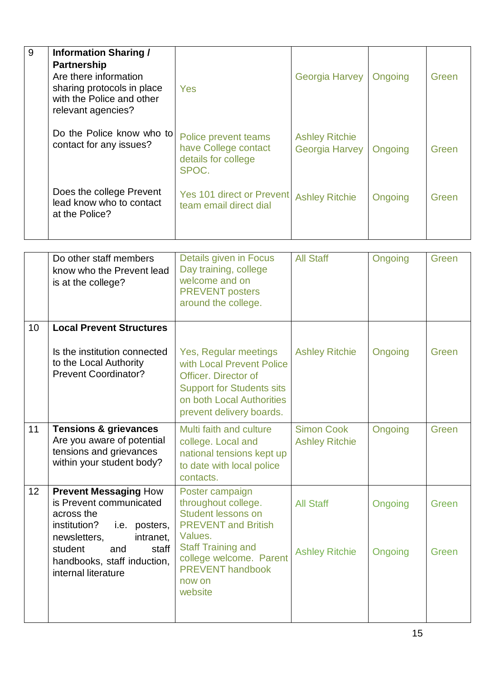| 9 | <b>Information Sharing /</b><br><b>Partnership</b><br>Are there information<br>sharing protocols in place<br>with the Police and other<br>relevant agencies? | Yes                                                                          | <b>Georgia Harvey</b>                          | Ongoing | Green |
|---|--------------------------------------------------------------------------------------------------------------------------------------------------------------|------------------------------------------------------------------------------|------------------------------------------------|---------|-------|
|   | Do the Police know who to<br>contact for any issues?                                                                                                         | Police prevent teams<br>have College contact<br>details for college<br>SPOC. | <b>Ashley Ritchie</b><br><b>Georgia Harvey</b> | Ongoing | Green |
|   | Does the college Prevent<br>lead know who to contact<br>at the Police?                                                                                       | Yes 101 direct or Prevent<br>team email direct dial                          | <b>Ashley Ritchie</b>                          | Ongoing | Green |

|    | Do other staff members<br>know who the Prevent lead<br>is at the college?                                                                                                                                            | Details given in Focus<br>Day training, college<br>welcome and on<br><b>PREVENT posters</b><br>around the college.                                                                                                   | <b>All Staff</b>                           | Ongoing            | Green          |
|----|----------------------------------------------------------------------------------------------------------------------------------------------------------------------------------------------------------------------|----------------------------------------------------------------------------------------------------------------------------------------------------------------------------------------------------------------------|--------------------------------------------|--------------------|----------------|
| 10 | <b>Local Prevent Structures</b>                                                                                                                                                                                      |                                                                                                                                                                                                                      |                                            |                    |                |
|    | Is the institution connected<br>to the Local Authority<br><b>Prevent Coordinator?</b>                                                                                                                                | Yes, Regular meetings<br>with Local Prevent Police<br>Officer, Director of<br><b>Support for Students sits</b><br>on both Local Authorities<br>prevent delivery boards.                                              | <b>Ashley Ritchie</b>                      | Ongoing            | Green          |
| 11 | <b>Tensions &amp; grievances</b><br>Are you aware of potential<br>tensions and grievances<br>within your student body?                                                                                               | Multi faith and culture<br>college. Local and<br>national tensions kept up<br>to date with local police<br>contacts.                                                                                                 | <b>Simon Cook</b><br><b>Ashley Ritchie</b> | Ongoing            | Green          |
| 12 | <b>Prevent Messaging How</b><br>is Prevent communicated<br>across the<br>institution?<br>i.e. posters,<br>intranet,<br>newsletters,<br>student<br>staff<br>and<br>handbooks, staff induction,<br>internal literature | Poster campaign<br>throughout college.<br><b>Student lessons on</b><br><b>PREVENT</b> and British<br>Values.<br><b>Staff Training and</b><br>college welcome. Parent<br><b>PREVENT handbook</b><br>now on<br>website | <b>All Staff</b><br><b>Ashley Ritchie</b>  | Ongoing<br>Ongoing | Green<br>Green |
|    |                                                                                                                                                                                                                      |                                                                                                                                                                                                                      |                                            |                    |                |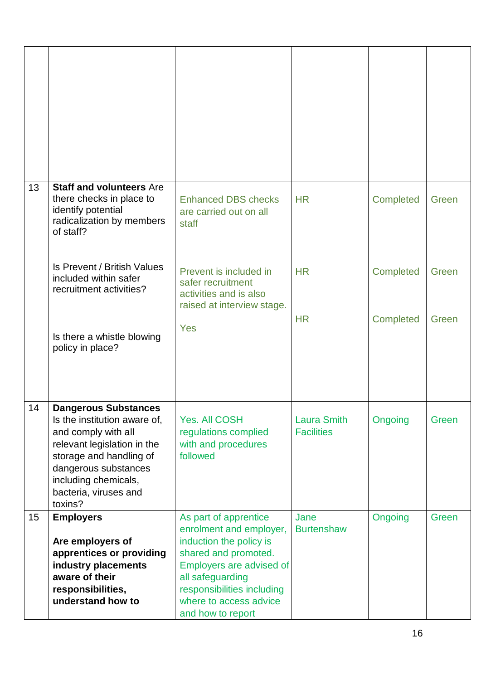| 13 | <b>Staff and volunteers Are</b><br>there checks in place to<br>identify potential<br>radicalization by members<br>of staff?                                                                                                      | <b>Enhanced DBS checks</b><br>are carried out on all<br>staff                                                                                                                                                                    | <b>HR</b>                               | <b>Completed</b> | Green |
|----|----------------------------------------------------------------------------------------------------------------------------------------------------------------------------------------------------------------------------------|----------------------------------------------------------------------------------------------------------------------------------------------------------------------------------------------------------------------------------|-----------------------------------------|------------------|-------|
|    | Is Prevent / British Values<br>included within safer<br>recruitment activities?                                                                                                                                                  | Prevent is included in<br>safer recruitment<br>activities and is also<br>raised at interview stage.                                                                                                                              | <b>HR</b>                               | Completed        | Green |
|    | Is there a whistle blowing<br>policy in place?                                                                                                                                                                                   | Yes                                                                                                                                                                                                                              | <b>HR</b>                               | Completed        | Green |
| 14 | <b>Dangerous Substances</b><br>Is the institution aware of,<br>and comply with all<br>relevant legislation in the<br>storage and handling of<br>dangerous substances<br>including chemicals,<br>bacteria, viruses and<br>toxins? | <b>Yes. All COSH</b><br>regulations complied<br>with and procedures<br>followed                                                                                                                                                  | <b>Laura Smith</b><br><b>Facilities</b> | Ongoing          | Green |
| 15 | <b>Employers</b><br>Are employers of<br>apprentices or providing<br>industry placements<br>aware of their<br>responsibilities,<br>understand how to                                                                              | As part of apprentice<br>enrolment and employer,<br>induction the policy is<br>shared and promoted.<br>Employers are advised of<br>all safeguarding<br>responsibilities including<br>where to access advice<br>and how to report | Jane<br><b>Burtenshaw</b>               | Ongoing          | Green |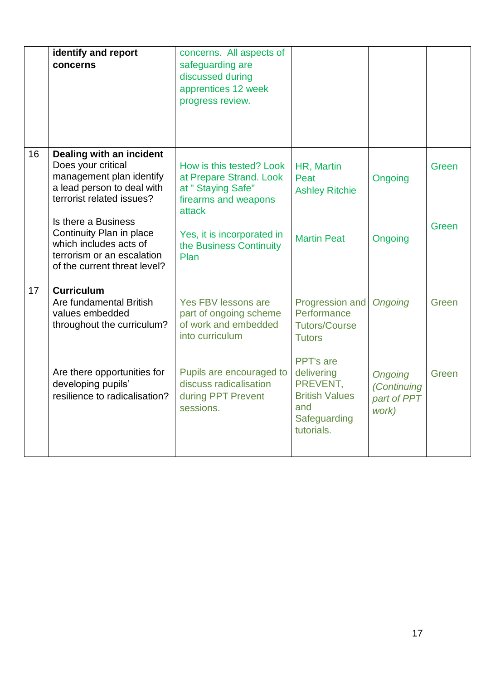|    | identify and report<br>concerns                                                                                                         | concerns. All aspects of<br>safeguarding are<br>discussed during<br>apprentices 12 week<br>progress review. |                                                                                                   |                                                       |       |
|----|-----------------------------------------------------------------------------------------------------------------------------------------|-------------------------------------------------------------------------------------------------------------|---------------------------------------------------------------------------------------------------|-------------------------------------------------------|-------|
| 16 | Dealing with an incident<br>Does your critical<br>management plan identify<br>a lead person to deal with<br>terrorist related issues?   | How is this tested? Look<br>at Prepare Strand. Look<br>at " Staying Safe"<br>firearms and weapons<br>attack | HR, Martin<br>Peat<br><b>Ashley Ritchie</b>                                                       | Ongoing                                               | Green |
|    | Is there a Business<br>Continuity Plan in place<br>which includes acts of<br>terrorism or an escalation<br>of the current threat level? | Yes, it is incorporated in<br>the Business Continuity<br>Plan                                               | <b>Martin Peat</b>                                                                                | Ongoing                                               | Green |
| 17 | <b>Curriculum</b><br>Are fundamental British<br>values embedded<br>throughout the curriculum?                                           | Yes FBV lessons are<br>part of ongoing scheme<br>of work and embedded<br>into curriculum                    | Progression and<br>Performance<br><b>Tutors/Course</b><br><b>Tutors</b>                           | <b>Ongoing</b>                                        | Green |
|    | Are there opportunities for<br>developing pupils'<br>resilience to radicalisation?                                                      | Pupils are encouraged to<br>discuss radicalisation<br>during PPT Prevent<br>sessions.                       | PPT's are<br>delivering<br>PREVENT,<br><b>British Values</b><br>and<br>Safeguarding<br>tutorials. | <b>Ongoing</b><br>(Continuing<br>part of PPT<br>work) | Green |